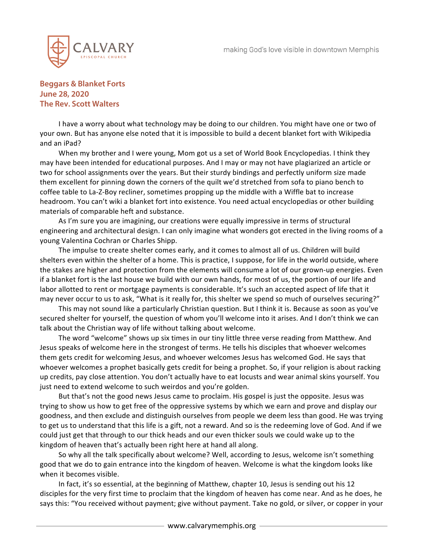

## **Beggars & Blanket Forts June 28, 2020 The Rev. Scott Walters**

I have a worry about what technology may be doing to our children. You might have one or two of your own. But has anyone else noted that it is impossible to build a decent blanket fort with Wikipedia and an iPad?

When my brother and I were young, Mom got us a set of World Book Encyclopedias. I think they may have been intended for educational purposes. And I may or may not have plagiarized an article or two for school assignments over the years. But their sturdy bindings and perfectly uniform size made them excellent for pinning down the corners of the quilt we'd stretched from sofa to piano bench to coffee table to La-Z-Boy recliner, sometimes propping up the middle with a Wiffle bat to increase headroom. You can't wiki a blanket fort into existence. You need actual encyclopedias or other building materials of comparable heft and substance.

As I'm sure you are imagining, our creations were equally impressive in terms of structural engineering and architectural design. I can only imagine what wonders got erected in the living rooms of a young Valentina Cochran or Charles Shipp.

The impulse to create shelter comes early, and it comes to almost all of us. Children will build shelters even within the shelter of a home. This is practice, I suppose, for life in the world outside, where the stakes are higher and protection from the elements will consume a lot of our grown-up energies. Even if a blanket fort is the last house we build with our own hands, for most of us, the portion of our life and labor allotted to rent or mortgage payments is considerable. It's such an accepted aspect of life that it may never occur to us to ask, "What is it really for, this shelter we spend so much of ourselves securing?"

This may not sound like a particularly Christian question. But I think it is. Because as soon as you've secured shelter for yourself, the question of whom you'll welcome into it arises. And I don't think we can talk about the Christian way of life without talking about welcome.

The word "welcome" shows up six times in our tiny little three verse reading from Matthew. And Jesus speaks of welcome here in the strongest of terms. He tells his disciples that whoever welcomes them gets credit for welcoming Jesus, and whoever welcomes Jesus has welcomed God. He says that whoever welcomes a prophet basically gets credit for being a prophet. So, if your religion is about racking up credits, pay close attention. You don't actually have to eat locusts and wear animal skins yourself. You just need to extend welcome to such weirdos and you're golden.

But that's not the good news Jesus came to proclaim. His gospel is just the opposite. Jesus was trying to show us how to get free of the oppressive systems by which we earn and prove and display our goodness, and then exclude and distinguish ourselves from people we deem less than good. He was trying to get us to understand that this life is a gift, not a reward. And so is the redeeming love of God. And if we could just get that through to our thick heads and our even thicker souls we could wake up to the kingdom of heaven that's actually been right here at hand all along.

So why all the talk specifically about welcome? Well, according to Jesus, welcome isn't something good that we do to gain entrance into the kingdom of heaven. Welcome is what the kingdom looks like when it becomes visible.

In fact, it's so essential, at the beginning of Matthew, chapter 10, Jesus is sending out his 12 disciples for the very first time to proclaim that the kingdom of heaven has come near. And as he does, he says this: "You received without payment; give without payment. Take no gold, or silver, or copper in your